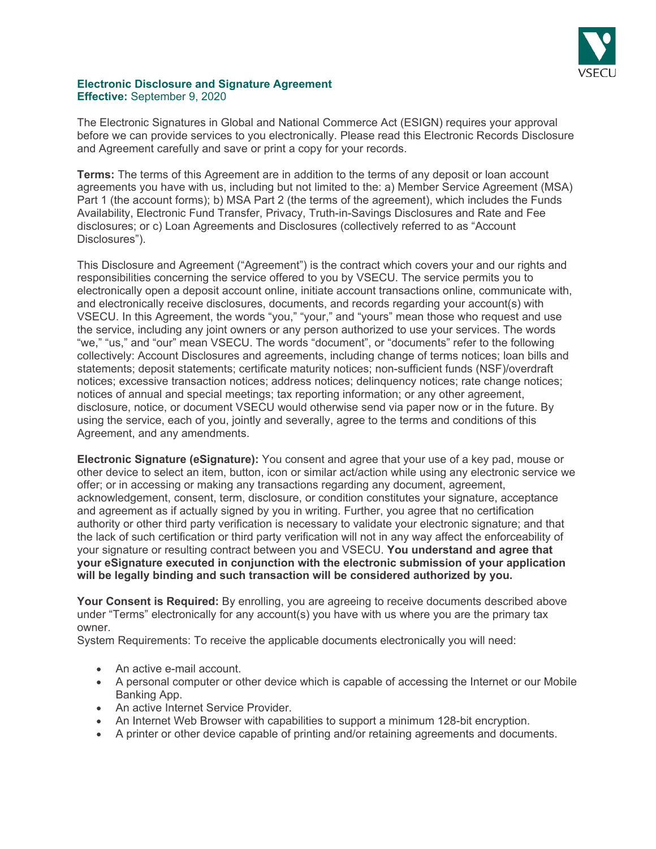

# **Electronic Disclosure and Signature Agreement Effective:** September 9, 2020

The Electronic Signatures in Global and National Commerce Act (ESIGN) requires your approval before we can provide services to you electronically. Please read this Electronic Records Disclosure and Agreement carefully and save or print a copy for your records.

**Terms:** The terms of this Agreement are in addition to the terms of any deposit or loan account agreements you have with us, including but not limited to the: a) Member Service Agreement (MSA) Part 1 (the account forms); b) MSA Part 2 (the terms of the agreement), which includes the Funds Availability, Electronic Fund Transfer, Privacy, Truth-in-Savings Disclosures and Rate and Fee disclosures; or c) Loan Agreements and Disclosures (collectively referred to as "Account Disclosures").

This Disclosure and Agreement ("Agreement") is the contract which covers your and our rights and responsibilities concerning the service offered to you by VSECU. The service permits you to electronically open a deposit account online, initiate account transactions online, communicate with, and electronically receive disclosures, documents, and records regarding your account(s) with VSECU. In this Agreement, the words "you," "your," and "yours" mean those who request and use the service, including any joint owners or any person authorized to use your services. The words "we," "us," and "our" mean VSECU. The words "document", or "documents" refer to the following collectively: Account Disclosures and agreements, including change of terms notices; loan bills and statements; deposit statements; certificate maturity notices; non-sufficient funds (NSF)/overdraft notices; excessive transaction notices; address notices; delinquency notices; rate change notices; notices of annual and special meetings; tax reporting information; or any other agreement, disclosure, notice, or document VSECU would otherwise send via paper now or in the future. By using the service, each of you, jointly and severally, agree to the terms and conditions of this Agreement, and any amendments.

**Electronic Signature (eSignature):** You consent and agree that your use of a key pad, mouse or other device to select an item, button, icon or similar act/action while using any electronic service we offer; or in accessing or making any transactions regarding any document, agreement, acknowledgement, consent, term, disclosure, or condition constitutes your signature, acceptance and agreement as if actually signed by you in writing. Further, you agree that no certification authority or other third party verification is necessary to validate your electronic signature; and that the lack of such certification or third party verification will not in any way affect the enforceability of your signature or resulting contract between you and VSECU. **You understand and agree that your eSignature executed in conjunction with the electronic submission of your application will be legally binding and such transaction will be considered authorized by you.**

**Your Consent is Required:** By enrolling, you are agreeing to receive documents described above under "Terms" electronically for any account(s) you have with us where you are the primary tax owner.

System Requirements: To receive the applicable documents electronically you will need:

- An active e-mail account.
- A personal computer or other device which is capable of accessing the Internet or our Mobile Banking App.
- An active Internet Service Provider.
- An Internet Web Browser with capabilities to support a minimum 128-bit encryption.
- A printer or other device capable of printing and/or retaining agreements and documents.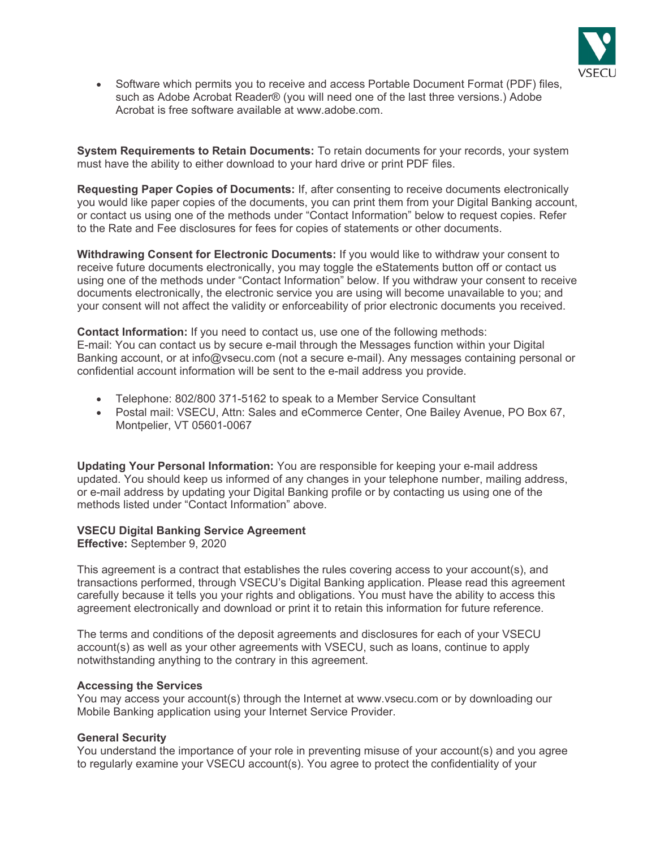

• Software which permits you to receive and access Portable Document Format (PDF) files, such as Adobe Acrobat Reader® (you will need one of the last three versions.) Adobe Acrobat is free software available at www.adobe.com.

**System Requirements to Retain Documents:** To retain documents for your records, your system must have the ability to either download to your hard drive or print PDF files.

**Requesting Paper Copies of Documents:** If, after consenting to receive documents electronically you would like paper copies of the documents, you can print them from your Digital Banking account, or contact us using one of the methods under "Contact Information" below to request copies. Refer to the Rate and Fee disclosures for fees for copies of statements or other documents.

**Withdrawing Consent for Electronic Documents:** If you would like to withdraw your consent to receive future documents electronically, you may toggle the eStatements button off or contact us using one of the methods under "Contact Information" below. If you withdraw your consent to receive documents electronically, the electronic service you are using will become unavailable to you; and your consent will not affect the validity or enforceability of prior electronic documents you received.

**Contact Information:** If you need to contact us, use one of the following methods: E-mail: You can contact us by secure e-mail through the Messages function within your Digital Banking account, or at info@vsecu.com (not a secure e-mail). Any messages containing personal or confidential account information will be sent to the e-mail address you provide.

- Telephone: 802/800 371-5162 to speak to a Member Service Consultant
- Postal mail: VSECU, Attn: Sales and eCommerce Center, One Bailey Avenue, PO Box 67, Montpelier, VT 05601-0067

**Updating Your Personal Information:** You are responsible for keeping your e-mail address updated. You should keep us informed of any changes in your telephone number, mailing address, or e-mail address by updating your Digital Banking profile or by contacting us using one of the methods listed under "Contact Information" above.

# **VSECU Digital Banking Service Agreement**

**Effective:** September 9, 2020

This agreement is a contract that establishes the rules covering access to your account(s), and transactions performed, through VSECU's Digital Banking application. Please read this agreement carefully because it tells you your rights and obligations. You must have the ability to access this agreement electronically and download or print it to retain this information for future reference.

The terms and conditions of the deposit agreements and disclosures for each of your VSECU account(s) as well as your other agreements with VSECU, such as loans, continue to apply notwithstanding anything to the contrary in this agreement.

#### **Accessing the Services**

You may access your account(s) through the Internet at www.vsecu.com or by downloading our Mobile Banking application using your Internet Service Provider.

#### **General Security**

You understand the importance of your role in preventing misuse of your account(s) and you agree to regularly examine your VSECU account(s). You agree to protect the confidentiality of your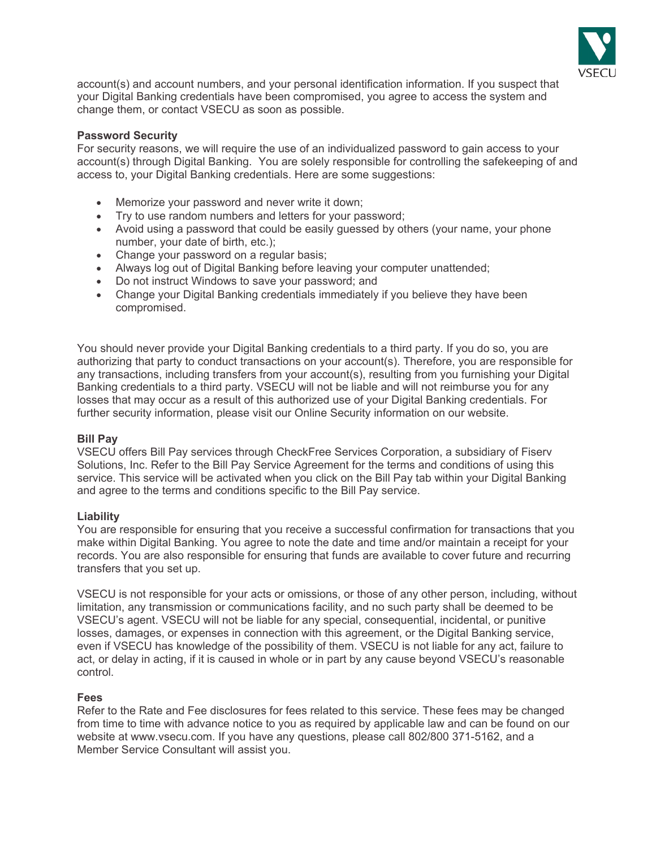

account(s) and account numbers, and your personal identification information. If you suspect that your Digital Banking credentials have been compromised, you agree to access the system and change them, or contact VSECU as soon as possible.

### **Password Security**

For security reasons, we will require the use of an individualized password to gain access to your account(s) through Digital Banking. You are solely responsible for controlling the safekeeping of and access to, your Digital Banking credentials. Here are some suggestions:

- Memorize your password and never write it down;
- Try to use random numbers and letters for your password;
- Avoid using a password that could be easily guessed by others (your name, your phone number, your date of birth, etc.);
- Change your password on a regular basis;
- Always log out of Digital Banking before leaving your computer unattended;
- Do not instruct Windows to save your password; and
- Change your Digital Banking credentials immediately if you believe they have been compromised.

You should never provide your Digital Banking credentials to a third party. If you do so, you are authorizing that party to conduct transactions on your account(s). Therefore, you are responsible for any transactions, including transfers from your account(s), resulting from you furnishing your Digital Banking credentials to a third party. VSECU will not be liable and will not reimburse you for any losses that may occur as a result of this authorized use of your Digital Banking credentials. For further security information, please visit our Online Security information on our website.

### **Bill Pay**

VSECU offers Bill Pay services through CheckFree Services Corporation, a subsidiary of Fiserv Solutions, Inc. Refer to the Bill Pay Service Agreement for the terms and conditions of using this service. This service will be activated when you click on the Bill Pay tab within your Digital Banking and agree to the terms and conditions specific to the Bill Pay service.

### **Liability**

You are responsible for ensuring that you receive a successful confirmation for transactions that you make within Digital Banking. You agree to note the date and time and/or maintain a receipt for your records. You are also responsible for ensuring that funds are available to cover future and recurring transfers that you set up.

VSECU is not responsible for your acts or omissions, or those of any other person, including, without limitation, any transmission or communications facility, and no such party shall be deemed to be VSECU's agent. VSECU will not be liable for any special, consequential, incidental, or punitive losses, damages, or expenses in connection with this agreement, or the Digital Banking service, even if VSECU has knowledge of the possibility of them. VSECU is not liable for any act, failure to act, or delay in acting, if it is caused in whole or in part by any cause beyond VSECU's reasonable control.

### **Fees**

Refer to the Rate and Fee disclosures for fees related to this service. These fees may be changed from time to time with advance notice to you as required by applicable law and can be found on our website at www.vsecu.com. If you have any questions, please call 802/800 371-5162, and a Member Service Consultant will assist you.